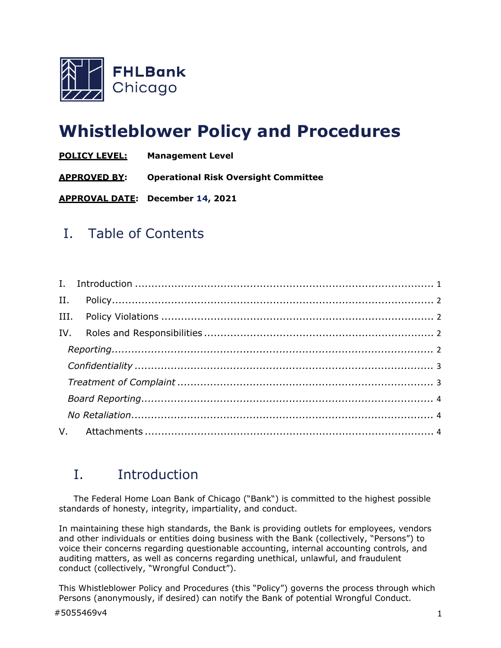

# **Whistleblower Policy and Procedures**

**POLICY LEVEL: Management Level**

**APPROVED BY: Operational Risk Oversight Committee**

**APPROVAL DATE: December 14, 2021**

### I. Table of Contents

### <span id="page-0-0"></span>I. Introduction

The Federal Home Loan Bank of Chicago ("Bank") is committed to the highest possible standards of honesty, integrity, impartiality, and conduct.

In maintaining these high standards, the Bank is providing outlets for employees, vendors and other individuals or entities doing business with the Bank (collectively, "Persons") to voice their concerns regarding questionable accounting, internal accounting controls, and auditing matters, as well as concerns regarding unethical, unlawful, and fraudulent conduct (collectively, "Wrongful Conduct").

This Whistleblower Policy and Procedures (this "Policy") governs the process through which Persons (anonymously, if desired) can notify the Bank of potential Wrongful Conduct.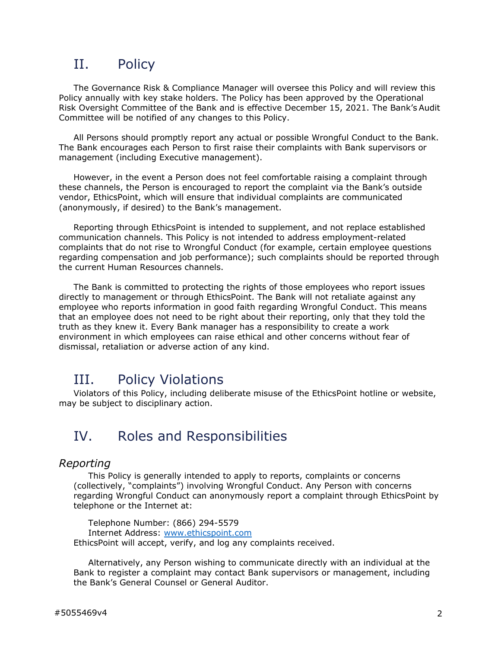# <span id="page-1-0"></span>II. Policy

The Governance Risk & Compliance Manager will oversee this Policy and will review this Policy annually with key stake holders. The Policy has been approved by the Operational Risk Oversight Committee of the Bank and is effective December 15, 2021. The Bank's Audit Committee will be notified of any changes to this Policy.

All Persons should promptly report any actual or possible Wrongful Conduct to the Bank. The Bank encourages each Person to first raise their complaints with Bank supervisors or management (including Executive management).

However, in the event a Person does not feel comfortable raising a complaint through these channels, the Person is encouraged to report the complaint via the Bank's outside vendor, EthicsPoint, which will ensure that individual complaints are communicated (anonymously, if desired) to the Bank's management.

Reporting through EthicsPoint is intended to supplement, and not replace established communication channels. This Policy is not intended to address employment-related complaints that do not rise to Wrongful Conduct (for example, certain employee questions regarding compensation and job performance); such complaints should be reported through the current Human Resources channels.

The Bank is committed to protecting the rights of those employees who report issues directly to management or through EthicsPoint. The Bank will not retaliate against any employee who reports information in good faith regarding Wrongful Conduct. This means that an employee does not need to be right about their reporting, only that they told the truth as they knew it. Every Bank manager has a responsibility to create a work environment in which employees can raise ethical and other concerns without fear of dismissal, retaliation or adverse action of any kind.

### <span id="page-1-1"></span>III. Policy Violations

Violators of this Policy, including deliberate misuse of the EthicsPoint hotline or website, may be subject to disciplinary action.

### <span id="page-1-2"></span>IV. Roles and Responsibilities

#### <span id="page-1-3"></span>*Reporting*

This Policy is generally intended to apply to reports, complaints or concerns (collectively, "complaints") involving Wrongful Conduct. Any Person with concerns regarding Wrongful Conduct can anonymously report a complaint through EthicsPoint by telephone or the Internet at:

Telephone Number: (866) 294-5579 Internet Address: [www.ethicspoint.com](http://www.ethicspoint.com/) EthicsPoint will accept, verify, and log any complaints received.

Alternatively, any Person wishing to communicate directly with an individual at the Bank to register a complaint may contact Bank supervisors or management, including the Bank's General Counsel or General Auditor.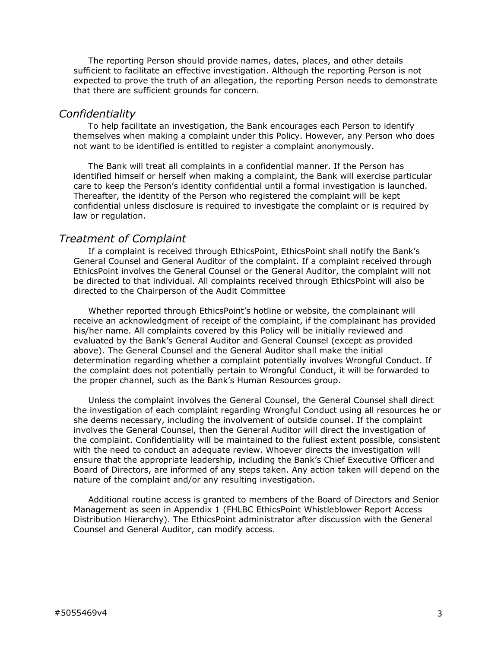The reporting Person should provide names, dates, places, and other details sufficient to facilitate an effective investigation. Although the reporting Person is not expected to prove the truth of an allegation, the reporting Person needs to demonstrate that there are sufficient grounds for concern.

#### <span id="page-2-0"></span>*Confidentiality*

To help facilitate an investigation, the Bank encourages each Person to identify themselves when making a complaint under this Policy. However, any Person who does not want to be identified is entitled to register a complaint anonymously.

The Bank will treat all complaints in a confidential manner. If the Person has identified himself or herself when making a complaint, the Bank will exercise particular care to keep the Person's identity confidential until a formal investigation is launched. Thereafter, the identity of the Person who registered the complaint will be kept confidential unless disclosure is required to investigate the complaint or is required by law or regulation.

#### <span id="page-2-1"></span>*Treatment of Complaint*

If a complaint is received through EthicsPoint, EthicsPoint shall notify the Bank's General Counsel and General Auditor of the complaint. If a complaint received through EthicsPoint involves the General Counsel or the General Auditor, the complaint will not be directed to that individual. All complaints received through EthicsPoint will also be directed to the Chairperson of the Audit Committee

Whether reported through EthicsPoint's hotline or website, the complainant will receive an acknowledgment of receipt of the complaint, if the complainant has provided his/her name. All complaints covered by this Policy will be initially reviewed and evaluated by the Bank's General Auditor and General Counsel (except as provided above). The General Counsel and the General Auditor shall make the initial determination regarding whether a complaint potentially involves Wrongful Conduct. If the complaint does not potentially pertain to Wrongful Conduct, it will be forwarded to the proper channel, such as the Bank's Human Resources group.

Unless the complaint involves the General Counsel, the General Counsel shall direct the investigation of each complaint regarding Wrongful Conduct using all resources he or she deems necessary, including the involvement of outside counsel. If the complaint involves the General Counsel, then the General Auditor will direct the investigation of the complaint. Confidentiality will be maintained to the fullest extent possible, consistent with the need to conduct an adequate review. Whoever directs the investigation will ensure that the appropriate leadership, including the Bank's Chief Executive Officer and Board of Directors, are informed of any steps taken. Any action taken will depend on the nature of the complaint and/or any resulting investigation.

Additional routine access is granted to members of the Board of Directors and Senior Management as seen in Appendix 1 (FHLBC EthicsPoint Whistleblower Report Access Distribution Hierarchy). The EthicsPoint administrator after discussion with the General Counsel and General Auditor, can modify access.